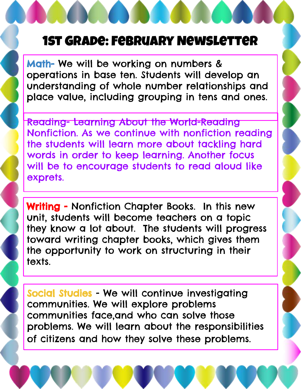## 1st Grade: February Newsletter

Math- We will be working on numbers & operations in base ten. Students will develop an understanding of whole number relationships and place value, including grouping in tens and ones.

Reading- Learning About the World-Reading Nonfiction. As we continue with nonfiction reading the students will learn more about tackling hard words in order to keep learning. Another focus will be to encourage students to read aloud like exprets.

Writing - Nonfiction Chapter Books. In this new unit, students will become teachers on a topic they know a lot about. The students will progress toward writing chapter books, which gives them the opportunity to work on structuring in their texts.

Social Studies - We will continue investigating communities. We will explore problems communities face,and who can solve those problems. We will learn about the responsibilities of citizens and how they solve these problems.